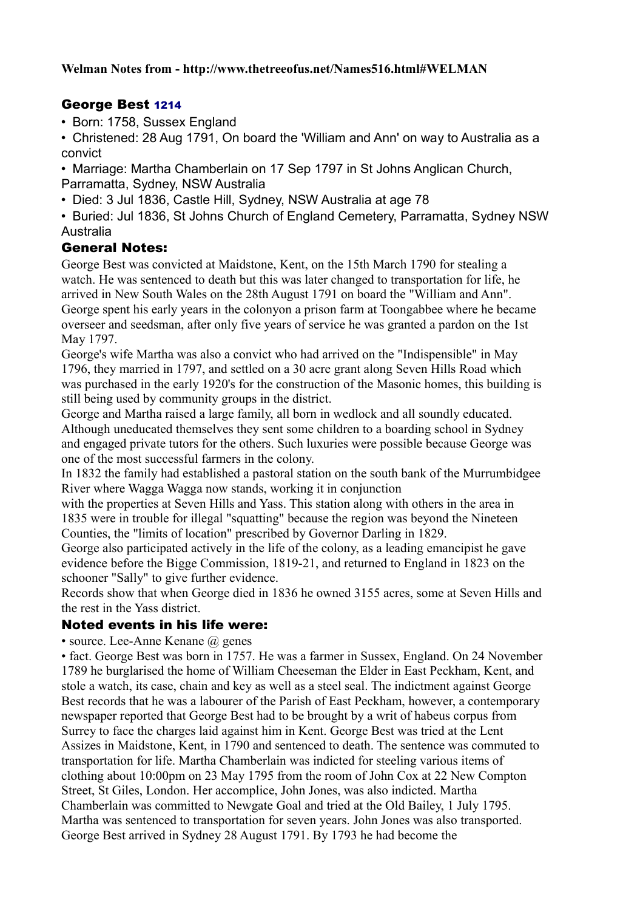# George Best 1214

• Born: 1758, Sussex England

• Christened: 28 Aug 1791, On board the 'William and Ann' on way to Australia as a convict

• Marriage: Martha Chamberlain on 17 Sep 1797 in St Johns Anglican Church, Parramatta, Sydney, NSW Australia

• Died: 3 Jul 1836, Castle Hill, Sydney, NSW Australia at age 78

• Buried: Jul 1836, St Johns Church of England Cemetery, Parramatta, Sydney NSW Australia

## General Notes:

George Best was convicted at Maidstone, Kent, on the 15th March 1790 for stealing a watch. He was sentenced to death but this was later changed to transportation for life, he arrived in New South Wales on the 28th August 1791 on board the "William and Ann". George spent his early years in the colonyon a prison farm at Toongabbee where he became overseer and seedsman, after only five years of service he was granted a pardon on the 1st May 1797.

George's wife Martha was also a convict who had arrived on the "Indispensible" in May 1796, they married in 1797, and settled on a 30 acre grant along Seven Hills Road which was purchased in the early 1920's for the construction of the Masonic homes, this building is still being used by community groups in the district.

George and Martha raised a large family, all born in wedlock and all soundly educated. Although uneducated themselves they sent some children to a boarding school in Sydney and engaged private tutors for the others. Such luxuries were possible because George was one of the most successful farmers in the colony.

In 1832 the family had established a pastoral station on the south bank of the Murrumbidgee River where Wagga Wagga now stands, working it in conjunction

with the properties at Seven Hills and Yass. This station along with others in the area in 1835 were in trouble for illegal "squatting" because the region was beyond the Nineteen Counties, the "limits of location" prescribed by Governor Darling in 1829.

George also participated actively in the life of the colony, as a leading emancipist he gave evidence before the Bigge Commission, 1819-21, and returned to England in 1823 on the schooner "Sally" to give further evidence.

Records show that when George died in 1836 he owned 3155 acres, some at Seven Hills and the rest in the Yass district.

## Noted events in his life were:

• source. Lee-Anne Kenane  $\omega$  genes

• fact. George Best was born in 1757. He was a farmer in Sussex, England. On 24 November 1789 he burglarised the home of William Cheeseman the Elder in East Peckham, Kent, and stole a watch, its case, chain and key as well as a steel seal. The indictment against George Best records that he was a labourer of the Parish of East Peckham, however, a contemporary newspaper reported that George Best had to be brought by a writ of habeus corpus from Surrey to face the charges laid against him in Kent. George Best was tried at the Lent Assizes in Maidstone, Kent, in 1790 and sentenced to death. The sentence was commuted to transportation for life. Martha Chamberlain was indicted for steeling various items of clothing about 10:00pm on 23 May 1795 from the room of John Cox at 22 New Compton Street, St Giles, London. Her accomplice, John Jones, was also indicted. Martha Chamberlain was committed to Newgate Goal and tried at the Old Bailey, 1 July 1795. Martha was sentenced to transportation for seven years. John Jones was also transported. George Best arrived in Sydney 28 August 1791. By 1793 he had become the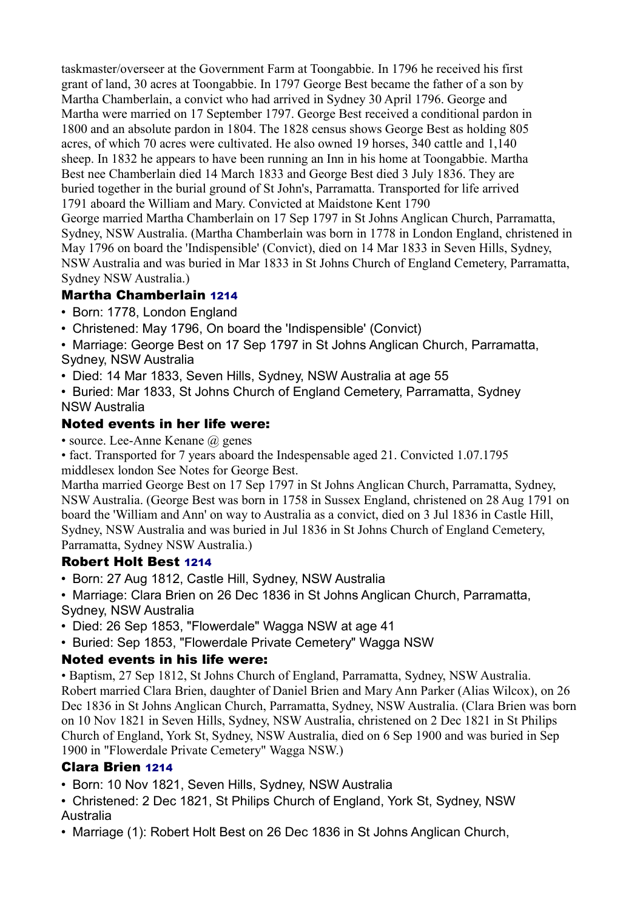taskmaster/overseer at the Government Farm at Toongabbie. In 1796 he received his first grant of land, 30 acres at Toongabbie. In 1797 George Best became the father of a son by Martha Chamberlain, a convict who had arrived in Sydney 30 April 1796. George and Martha were married on 17 September 1797. George Best received a conditional pardon in 1800 and an absolute pardon in 1804. The 1828 census shows George Best as holding 805 acres, of which 70 acres were cultivated. He also owned 19 horses, 340 cattle and 1,140 sheep. In 1832 he appears to have been running an Inn in his home at Toongabbie. Martha Best nee Chamberlain died 14 March 1833 and George Best died 3 July 1836. They are buried together in the burial ground of St John's, Parramatta. Transported for life arrived 1791 aboard the William and Mary. Convicted at Maidstone Kent 1790 George married Martha Chamberlain on 17 Sep 1797 in St Johns Anglican Church, Parramatta, Sydney, NSW Australia. (Martha Chamberlain was born in 1778 in London England, christened in

May 1796 on board the 'Indispensible' (Convict), died on 14 Mar 1833 in Seven Hills, Sydney, NSW Australia and was buried in Mar 1833 in St Johns Church of England Cemetery, Parramatta, Sydney NSW Australia.)

#### Martha Chamberlain 1214

- Born: 1778, London England
- Christened: May 1796, On board the 'Indispensible' (Convict)
- Marriage: George Best on 17 Sep 1797 in St Johns Anglican Church, Parramatta, Sydney, NSW Australia
- Died: 14 Mar 1833, Seven Hills, Sydney, NSW Australia at age 55
- Buried: Mar 1833, St Johns Church of England Cemetery, Parramatta, Sydney NSW Australia

## Noted events in her life were:

- source. Lee-Anne Kenane  $\omega$  genes
- fact. Transported for 7 years aboard the Indespensable aged 21. Convicted 1.07.1795 middlesex london See Notes for George Best.

Martha married George Best on 17 Sep 1797 in St Johns Anglican Church, Parramatta, Sydney, NSW Australia. (George Best was born in 1758 in Sussex England, christened on 28 Aug 1791 on board the 'William and Ann' on way to Australia as a convict, died on 3 Jul 1836 in Castle Hill, Sydney, NSW Australia and was buried in Jul 1836 in St Johns Church of England Cemetery, Parramatta, Sydney NSW Australia.)

## Robert Holt Best 1214

• Born: 27 Aug 1812, Castle Hill, Sydney, NSW Australia

• Marriage: Clara Brien on 26 Dec 1836 in St Johns Anglican Church, Parramatta, Sydney, NSW Australia

- Died: 26 Sep 1853, "Flowerdale" Wagga NSW at age 41
- Buried: Sep 1853, "Flowerdale Private Cemetery" Wagga NSW

#### Noted events in his life were:

• Baptism, 27 Sep 1812, St Johns Church of England, Parramatta, Sydney, NSW Australia. Robert married Clara Brien, daughter of Daniel Brien and Mary Ann Parker (Alias Wilcox), on 26 Dec 1836 in St Johns Anglican Church, Parramatta, Sydney, NSW Australia. (Clara Brien was born on 10 Nov 1821 in Seven Hills, Sydney, NSW Australia, christened on 2 Dec 1821 in St Philips Church of England, York St, Sydney, NSW Australia, died on 6 Sep 1900 and was buried in Sep 1900 in "Flowerdale Private Cemetery" Wagga NSW.)

## Clara Brien 1214

- Born: 10 Nov 1821, Seven Hills, Sydney, NSW Australia
- Christened: 2 Dec 1821, St Philips Church of England, York St, Sydney, NSW Australia
- Marriage (1): Robert Holt Best on 26 Dec 1836 in St Johns Anglican Church,